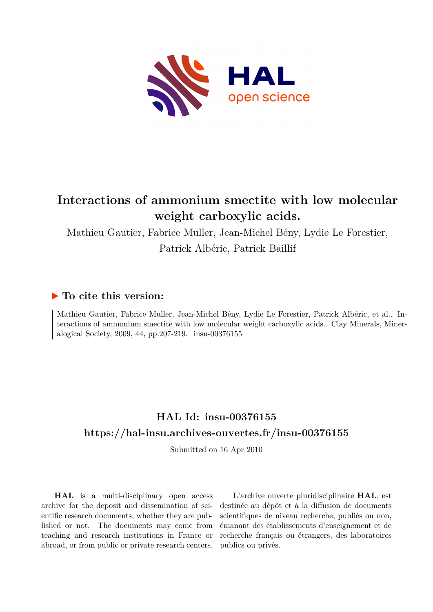

# **Interactions of ammonium smectite with low molecular weight carboxylic acids.**

Mathieu Gautier, Fabrice Muller, Jean-Michel Bény, Lydie Le Forestier,

Patrick Albéric, Patrick Baillif

# **To cite this version:**

Mathieu Gautier, Fabrice Muller, Jean-Michel Bény, Lydie Le Forestier, Patrick Albéric, et al.. Interactions of ammonium smectite with low molecular weight carboxylic acids.. Clay Minerals, Mineralogical Society, 2009, 44, pp.207-219.  $insu-00376155$ 

# **HAL Id: insu-00376155 <https://hal-insu.archives-ouvertes.fr/insu-00376155>**

Submitted on 16 Apr 2010

**HAL** is a multi-disciplinary open access archive for the deposit and dissemination of scientific research documents, whether they are published or not. The documents may come from teaching and research institutions in France or abroad, or from public or private research centers.

L'archive ouverte pluridisciplinaire **HAL**, est destinée au dépôt et à la diffusion de documents scientifiques de niveau recherche, publiés ou non, émanant des établissements d'enseignement et de recherche français ou étrangers, des laboratoires publics ou privés.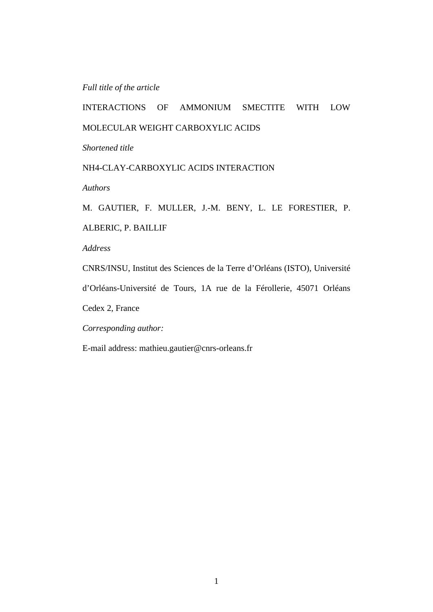*Full title of the article* 

INTERACTIONS OF AMMONIUM SMECTITE WITH LOW MOLECULAR WEIGHT CARBOXYLIC ACIDS *Shortened title*  NH4-CLAY-CARBOXYLIC ACIDS INTERACTION

*Authors* 

M. GAUTIER, F. MULLER, J.-M. BENY, L. LE FORESTIER, P. ALBERIC, P. BAILLIF

*Address* 

CNRS/INSU, Institut des Sciences de la Terre d'Orléans (ISTO), Université d'Orléans-Université de Tours, 1A rue de la Férollerie, 45071 Orléans Cedex 2, France *Corresponding author:* 

E-mail address: mathieu.gautier@cnrs-orleans.fr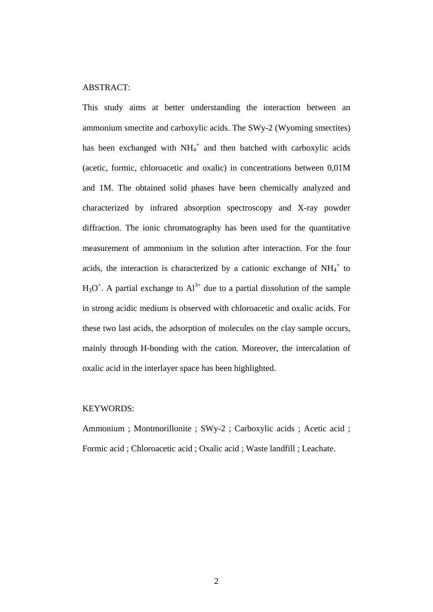# ABSTRACT:

This study aims at better understanding the interaction between an ammonium smectite and carboxylic acids. The SWy-2 (Wyoming smectites) has been exchanged with  $NH_4^+$  and then batched with carboxylic acids (acetic, formic, chloroacetic and oxalic) in concentrations between 0,01M and 1M. The obtained solid phases have been chemically analyzed and characterized by infrared absorption spectroscopy and X-ray powder diffraction. The ionic chromatography has been used for the quantitative measurement of ammonium in the solution after interaction. For the four acids, the interaction is characterized by a cationic exchange of  $NH_4^+$  to  $H_3O^+$ . A partial exchange to  $Al^{3+}$  due to a partial dissolution of the sample in strong acidic medium is observed with chloroacetic and oxalic acids. For these two last acids, the adsorption of molecules on the clay sample occurs, mainly through H-bonding with the cation. Moreover, the intercalation of oxalic acid in the interlayer space has been highlighted.

#### KEYWORDS:

Ammonium ; Montmorillonite ; SWy-2 ; Carboxylic acids ; Acetic acid ; Formic acid ; Chloroacetic acid ; Oxalic acid ; Waste landfill ; Leachate.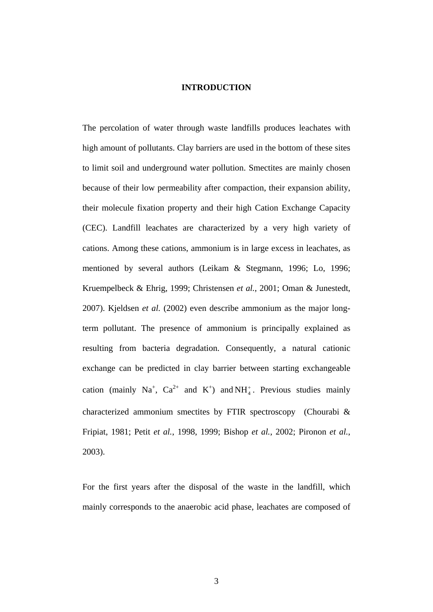#### **INTRODUCTION**

The percolation of water through waste landfills produces leachates with high amount of pollutants. Clay barriers are used in the bottom of these sites to limit soil and underground water pollution. Smectites are mainly chosen because of their low permeability after compaction, their expansion ability, their molecule fixation property and their high Cation Exchange Capacity (CEC). Landfill leachates are characterized by a very high variety of cations. Among these cations, ammonium is in large excess in leachates, as mentioned by several authors (Leikam & Stegmann, 1996; Lo, 1996; Kruempelbeck & Ehrig, 1999; Christensen *et al.*, 2001; Oman & Junestedt, 2007). Kjeldsen *et al.* (2002) even describe ammonium as the major longterm pollutant. The presence of ammonium is principally explained as resulting from bacteria degradation. Consequently, a natural cationic exchange can be predicted in clay barrier between starting exchangeable cation (mainly Na<sup>+</sup>, Ca<sup>2+</sup> and K<sup>+</sup>) and NH<sub>4</sub><sup>+</sup>. Previous studies mainly characterized ammonium smectites by FTIR spectroscopy (Chourabi & Fripiat, 1981; Petit *et al.*, 1998, 1999; Bishop *et al.*, 2002; Pironon *et al.*, 2003).

For the first years after the disposal of the waste in the landfill, which mainly corresponds to the anaerobic acid phase, leachates are composed of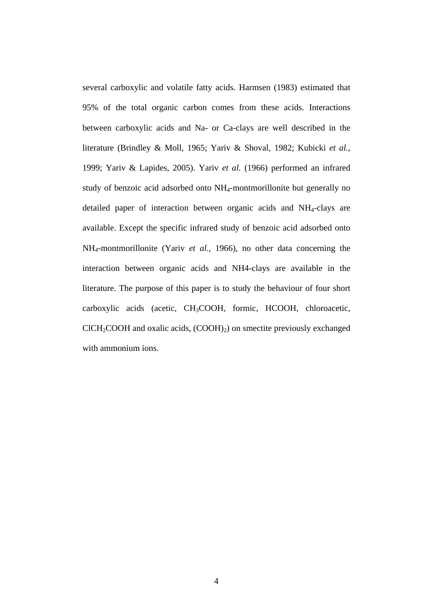several carboxylic and volatile fatty acids. Harmsen (1983) estimated that 95% of the total organic carbon comes from these acids. Interactions between carboxylic acids and Na- or Ca-clays are well described in the literature (Brindley & Moll, 1965; Yariv & Shoval, 1982; Kubicki *et al.*, 1999; Yariv & Lapides, 2005). Yariv *et al.* (1966) performed an infrared study of benzoic acid adsorbed onto NH4-montmorillonite but generally no detailed paper of interaction between organic acids and NH4-clays are available. Except the specific infrared study of benzoic acid adsorbed onto NH4-montmorillonite (Yariv *et al.*, 1966), no other data concerning the interaction between organic acids and NH4-clays are available in the literature. The purpose of this paper is to study the behaviour of four short carboxylic acids (acetic, CH3COOH, formic, HCOOH, chloroacetic,  $CICH_2COOH$  and oxalic acids,  $(COOH)_2$ ) on smectite previously exchanged with ammonium ions.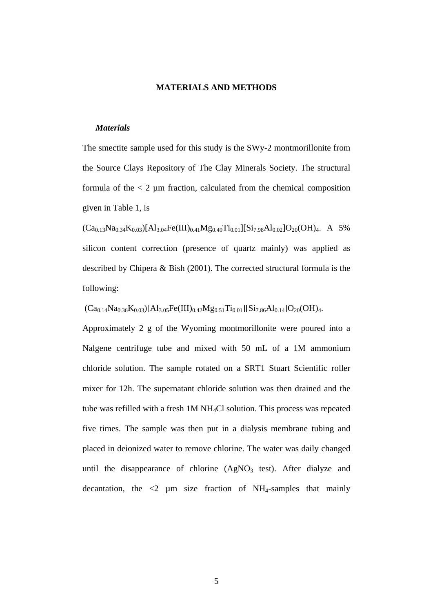#### **MATERIALS AND METHODS**

#### *Materials*

The smectite sample used for this study is the SWy-2 montmorillonite from the Source Clays Repository of The Clay Minerals Society. The structural formula of the  $\lt 2$  µm fraction, calculated from the chemical composition given in Table 1, is

 $(Ca_{0.13}Na_{0.34}K_{0.03})[Al_{3.04}Fe(III)_{0.41}Mg_{0.49}Ti_{0.01}][Si_{7.98}Al_{0.02}]O_{20}(OH)_{4}$ . A 5% silicon content correction (presence of quartz mainly) was applied as described by Chipera & Bish (2001). The corrected structural formula is the following:

 $(Ca_{0.14}Na_{0.36}K_{0.03})[Al_{3.05}Fe(III)_{0.42}Mg_{0.51}Ti_{0.01}][Si_{7.86}Al_{0.14}]O_{20}(OH)_{4}$ .

Approximately 2 g of the Wyoming montmorillonite were poured into a Nalgene centrifuge tube and mixed with 50 mL of a 1M ammonium chloride solution. The sample rotated on a SRT1 Stuart Scientific roller mixer for 12h. The supernatant chloride solution was then drained and the tube was refilled with a fresh 1M NH4Cl solution. This process was repeated five times. The sample was then put in a dialysis membrane tubing and placed in deionized water to remove chlorine. The water was daily changed until the disappearance of chlorine  $(AgNO<sub>3</sub> test)$ . After dialyze and decantation, the  $\langle 2 \mu m \rangle$  size fraction of NH<sub>4</sub>-samples that mainly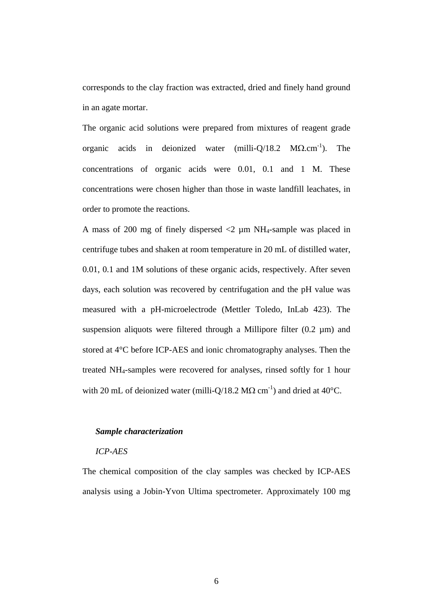corresponds to the clay fraction was extracted, dried and finely hand ground in an agate mortar.

The organic acid solutions were prepared from mixtures of reagent grade organic acids in deionized water (milli- $Q/18.2$  M $\Omega$ .cm<sup>-1</sup>). The concentrations of organic acids were 0.01, 0.1 and 1 M. These concentrations were chosen higher than those in waste landfill leachates, in order to promote the reactions.

A mass of 200 mg of finely dispersed  $\langle 2 \mu m \nabla H_4$ -sample was placed in centrifuge tubes and shaken at room temperature in 20 mL of distilled water, 0.01, 0.1 and 1M solutions of these organic acids, respectively. After seven days, each solution was recovered by centrifugation and the pH value was measured with a pH-microelectrode (Mettler Toledo, InLab 423). The suspension aliquots were filtered through a Millipore filter  $(0.2 \mu m)$  and stored at 4°C before ICP-AES and ionic chromatography analyses. Then the treated NH4-samples were recovered for analyses, rinsed softly for 1 hour with 20 mL of deionized water (milli- $Q/18.2$  M $\Omega$  cm<sup>-1</sup>) and dried at 40<sup>o</sup>C.

#### *Sample characterization*

#### *ICP-AES*

The chemical composition of the clay samples was checked by ICP-AES analysis using a Jobin-Yvon Ultima spectrometer. Approximately 100 mg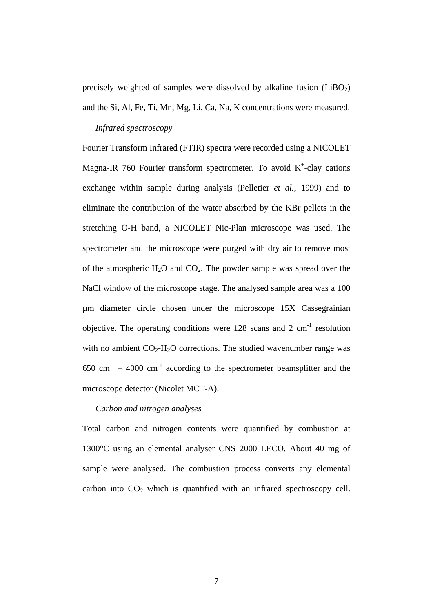precisely weighted of samples were dissolved by alkaline fusion  $(LiBO<sub>2</sub>)$ and the Si, Al, Fe, Ti, Mn, Mg, Li, Ca, Na, K concentrations were measured.

#### *Infrared spectroscopy*

Fourier Transform Infrared (FTIR) spectra were recorded using a NICOLET Magna-IR 760 Fourier transform spectrometer. To avoid  $K^+$ -clay cations exchange within sample during analysis (Pelletier *et al.*, 1999) and to eliminate the contribution of the water absorbed by the KBr pellets in the stretching O-H band, a NICOLET Nic-Plan microscope was used. The spectrometer and the microscope were purged with dry air to remove most of the atmospheric  $H_2O$  and  $CO_2$ . The powder sample was spread over the NaCl window of the microscope stage. The analysed sample area was a 100 µm diameter circle chosen under the microscope 15X Cassegrainian objective. The operating conditions were  $128$  scans and  $2 \text{ cm}^{-1}$  resolution with no ambient  $CO<sub>2</sub>$ -H<sub>2</sub>O corrections. The studied wavenumber range was  $650 \text{ cm}^{-1}$  – 4000 cm<sup>-1</sup> according to the spectrometer beamsplitter and the microscope detector (Nicolet MCT-A).

#### *Carbon and nitrogen analyses*

Total carbon and nitrogen contents were quantified by combustion at 1300°C using an elemental analyser CNS 2000 LECO. About 40 mg of sample were analysed. The combustion process converts any elemental carbon into  $CO<sub>2</sub>$  which is quantified with an infrared spectroscopy cell.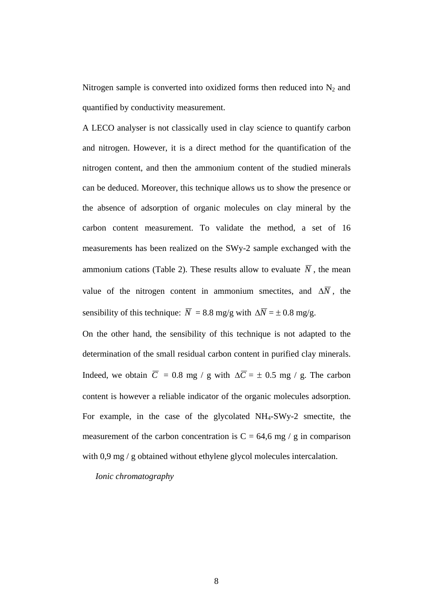Nitrogen sample is converted into oxidized forms then reduced into  $N_2$  and quantified by conductivity measurement.

A LECO analyser is not classically used in clay science to quantify carbon and nitrogen. However, it is a direct method for the quantification of the nitrogen content, and then the ammonium content of the studied minerals can be deduced. Moreover, this technique allows us to show the presence or the absence of adsorption of organic molecules on clay mineral by the carbon content measurement. To validate the method, a set of 16 measurements has been realized on the SWy-2 sample exchanged with the ammonium cations (Table 2). These results allow to evaluate  $\overline{N}$ , the mean value of the nitrogen content in ammonium smectites, and  $\Delta \overline{N}$ , the sensibility of this technique:  $\overline{N} = 8.8$  mg/g with  $\Delta \overline{N} = \pm 0.8$  mg/g.

On the other hand, the sensibility of this technique is not adapted to the determination of the small residual carbon content in purified clay minerals. Indeed, we obtain  $\overline{C} = 0.8$  mg / g with  $\Delta \overline{C} = \pm 0.5$  mg / g. The carbon content is however a reliable indicator of the organic molecules adsorption. For example, in the case of the glycolated NH4-SWy-2 smectite, the measurement of the carbon concentration is  $C = 64.6$  mg / g in comparison with 0,9 mg / g obtained without ethylene glycol molecules intercalation.

*Ionic chromatography*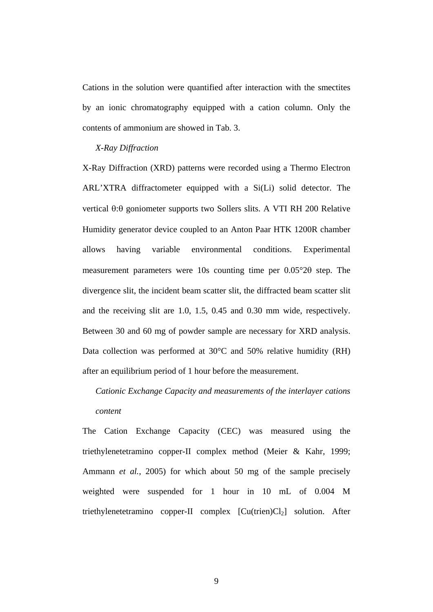Cations in the solution were quantified after interaction with the smectites by an ionic chromatography equipped with a cation column. Only the contents of ammonium are showed in Tab. 3.

# *X-Ray Diffraction*

X-Ray Diffraction (XRD) patterns were recorded using a Thermo Electron ARL'XTRA diffractometer equipped with a Si(Li) solid detector. The vertical θ:θ goniometer supports two Sollers slits. A VTI RH 200 Relative Humidity generator device coupled to an Anton Paar HTK 1200R chamber allows having variable environmental conditions. Experimental measurement parameters were 10s counting time per 0.05°2θ step. The divergence slit, the incident beam scatter slit, the diffracted beam scatter slit and the receiving slit are 1.0, 1.5, 0.45 and 0.30 mm wide, respectively. Between 30 and 60 mg of powder sample are necessary for XRD analysis. Data collection was performed at 30°C and 50% relative humidity (RH) after an equilibrium period of 1 hour before the measurement.

# *Cationic Exchange Capacity and measurements of the interlayer cations content*

The Cation Exchange Capacity (CEC) was measured using the triethylenetetramino copper-II complex method (Meier & Kahr, 1999; Ammann *et al.*, 2005) for which about 50 mg of the sample precisely weighted were suspended for 1 hour in 10 mL of 0.004 M triethylenetetramino copper-II complex  $[Cu(trien)Cl<sub>2</sub>]$  solution. After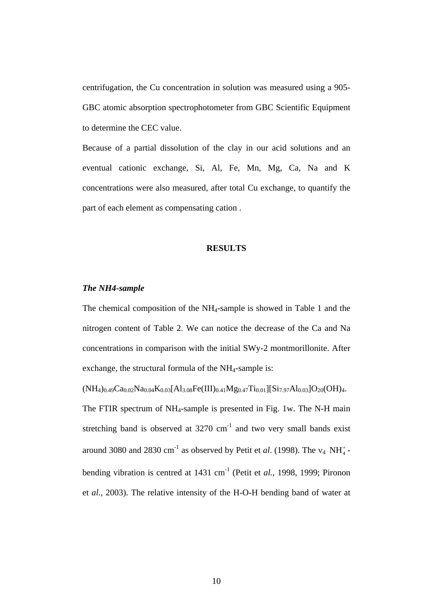centrifugation, the Cu concentration in solution was measured using a 905- GBC atomic absorption spectrophotometer from GBC Scientific Equipment to determine the CEC value.

Because of a partial dissolution of the clay in our acid solutions and an eventual cationic exchange, Si, Al, Fe, Mn, Mg, Ca, Na and K concentrations were also measured, after total Cu exchange, to quantify the part of each element as compensating cation .

#### **RESULTS**

#### *The NH4-sample*

The chemical composition of the  $NH_4$ -sample is showed in Table 1 and the nitrogen content of Table 2. We can notice the decrease of the Ca and Na concentrations in comparison with the initial SWy-2 montmorillonite. After exchange, the structural formula of the NH<sub>4</sub>-sample is:

 $(NH_4)_{0.49}Ca_{0.02}Na_{0.04}K_{0.03}[Al_{3.08}Fe(III)_{0.41}Mg_{0.47}Ti_{0.01}][Si_{7.97}Al_{0.03}]O_{20}(OH)_{4}$ 

The FTIR spectrum of NH4-sample is presented in Fig. 1w. The N-H main stretching band is observed at  $3270 \text{ cm}^{-1}$  and two very small bands exist around 3080 and 2830 cm<sup>-1</sup> as observed by Petit et *al.* (1998). The  $v_4$  NH<sub>4</sub><sup>+</sup>bending vibration is centred at 1431 cm-1 (Petit et *al.*, 1998, 1999; Pironon et *al.*, 2003). The relative intensity of the H-O-H bending band of water at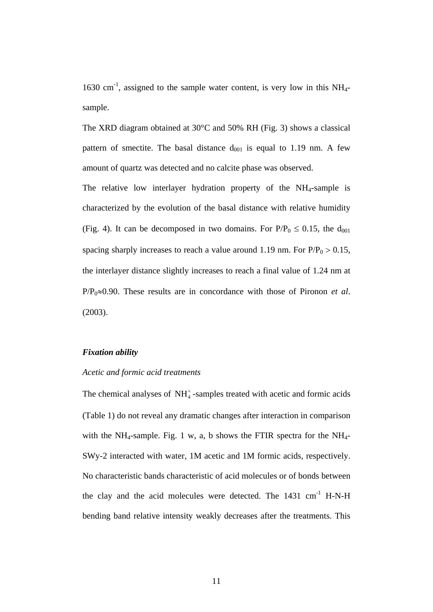1630 cm<sup>-1</sup>, assigned to the sample water content, is very low in this NH<sub>4</sub>sample.

The XRD diagram obtained at 30°C and 50% RH (Fig. 3) shows a classical pattern of smectite. The basal distance  $d_{001}$  is equal to 1.19 nm. A few amount of quartz was detected and no calcite phase was observed.

The relative low interlayer hydration property of the NH4-sample is characterized by the evolution of the basal distance with relative humidity (Fig. 4). It can be decomposed in two domains. For  $P/P_0 \le 0.15$ , the d<sub>001</sub> spacing sharply increases to reach a value around 1.19 nm. For  $P/P_0 > 0.15$ , the interlayer distance slightly increases to reach a final value of 1.24 nm at P/P<sub>0</sub>≈0.90. These results are in concordance with those of Pironon *et al.* (2003).

#### *Fixation ability*

#### *Acetic and formic acid treatments*

The chemical analyses of  $NH<sub>4</sub>$ -samples treated with acetic and formic acids (Table 1) do not reveal any dramatic changes after interaction in comparison with the NH<sub>4</sub>-sample. Fig. 1 w, a, b shows the FTIR spectra for the NH<sub>4</sub>-SWy-2 interacted with water, 1M acetic and 1M formic acids, respectively. No characteristic bands characteristic of acid molecules or of bonds between the clay and the acid molecules were detected. The  $1431 \text{ cm}^{-1}$  H-N-H bending band relative intensity weakly decreases after the treatments. This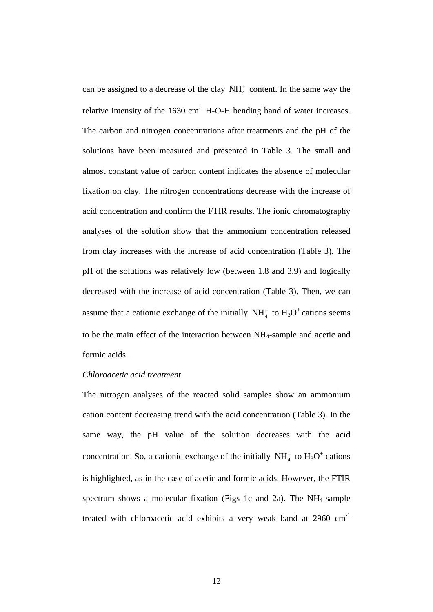can be assigned to a decrease of the clay  $NH<sub>4</sub><sup>+</sup>$  content. In the same way the relative intensity of the  $1630 \text{ cm}^{-1}$  H-O-H bending band of water increases. The carbon and nitrogen concentrations after treatments and the pH of the solutions have been measured and presented in Table 3. The small and almost constant value of carbon content indicates the absence of molecular fixation on clay. The nitrogen concentrations decrease with the increase of acid concentration and confirm the FTIR results. The ionic chromatography analyses of the solution show that the ammonium concentration released from clay increases with the increase of acid concentration (Table 3). The pH of the solutions was relatively low (between 1.8 and 3.9) and logically decreased with the increase of acid concentration (Table 3). Then, we can assume that a cationic exchange of the initially  $NH<sub>4</sub><sup>+</sup>$  to  $H<sub>3</sub>O<sup>+</sup>$  cations seems to be the main effect of the interaction between NH4-sample and acetic and formic acids.

#### *Chloroacetic acid treatment*

The nitrogen analyses of the reacted solid samples show an ammonium cation content decreasing trend with the acid concentration (Table 3). In the same way, the pH value of the solution decreases with the acid concentration. So, a cationic exchange of the initially  $NH<sub>4</sub><sup>+</sup>$  to  $H<sub>3</sub>O<sup>+</sup>$  cations is highlighted, as in the case of acetic and formic acids. However, the FTIR spectrum shows a molecular fixation (Figs 1c and 2a). The  $NH_4$ -sample treated with chloroacetic acid exhibits a very weak band at 2960 cm-1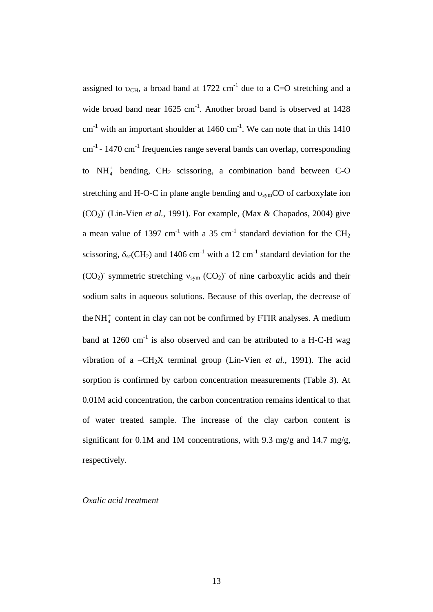assigned to  $v_{\text{CH}}$ , a broad band at 1722 cm<sup>-1</sup> due to a C=O stretching and a wide broad band near 1625 cm<sup>-1</sup>. Another broad band is observed at 1428  $cm<sup>-1</sup>$  with an important shoulder at 1460 cm<sup>-1</sup>. We can note that in this 1410  $cm^{-1}$  - 1470  $cm^{-1}$  frequencies range several bands can overlap, corresponding to  $NH_4^+$  bending,  $CH_2$  scissoring, a combination band between C-O stretching and H-O-C in plane angle bending and  $v_{sym}CO$  of carboxylate ion (CO<sub>2</sub>)<sup>-</sup> (Lin-Vien et al., 1991). For example, (Max & Chapados, 2004) give a mean value of 1397 cm<sup>-1</sup> with a 35 cm<sup>-1</sup> standard deviation for the CH<sub>2</sub> scissoring,  $\delta_{\rm sc}(\text{CH}_2)$  and 1406 cm<sup>-1</sup> with a 12 cm<sup>-1</sup> standard deviation for the  $(CO_2)$  symmetric stretching  $v_{sym} (CO_2)$  of nine carboxylic acids and their sodium salts in aqueous solutions. Because of this overlap, the decrease of the  $NH<sub>4</sub><sup>+</sup>$  content in clay can not be confirmed by FTIR analyses. A medium band at  $1260 \text{ cm}^{-1}$  is also observed and can be attributed to a H-C-H wag vibration of a –CH2X terminal group (Lin-Vien *et al.*, 1991). The acid sorption is confirmed by carbon concentration measurements (Table 3). At 0.01M acid concentration, the carbon concentration remains identical to that of water treated sample. The increase of the clay carbon content is significant for 0.1M and 1M concentrations, with 9.3 mg/g and 14.7 mg/g, respectively.

#### *Oxalic acid treatment*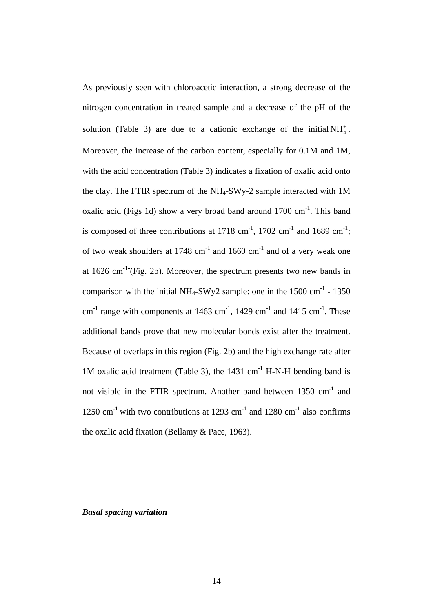As previously seen with chloroacetic interaction, a strong decrease of the nitrogen concentration in treated sample and a decrease of the pH of the solution (Table 3) are due to a cationic exchange of the initial  $NH<sub>4</sub>$ . Moreover, the increase of the carbon content, especially for 0.1M and 1M, with the acid concentration (Table 3) indicates a fixation of oxalic acid onto the clay. The FTIR spectrum of the NH4-SWy-2 sample interacted with 1M oxalic acid (Figs 1d) show a very broad band around  $1700 \text{ cm}^{-1}$ . This band is composed of three contributions at 1718 cm<sup>-1</sup>, 1702 cm<sup>-1</sup> and 1689 cm<sup>-1</sup>; of two weak shoulders at  $1748 \text{ cm}^{-1}$  and  $1660 \text{ cm}^{-1}$  and of a very weak one at  $1626 \text{ cm}^{-1}$  (Fig. 2b). Moreover, the spectrum presents two new bands in comparison with the initial NH<sub>4</sub>-SWy<sub>2</sub> sample: one in the  $1500 \text{ cm}^{-1}$  - 1350  $\text{cm}^{-1}$  range with components at 1463  $\text{cm}^{-1}$ , 1429  $\text{cm}^{-1}$  and 1415  $\text{cm}^{-1}$ . These additional bands prove that new molecular bonds exist after the treatment. Because of overlaps in this region (Fig. 2b) and the high exchange rate after 1M oxalic acid treatment (Table 3), the  $1431 \text{ cm}^{-1}$  H-N-H bending band is not visible in the FTIR spectrum. Another band between 1350 cm<sup>-1</sup> and 1250  $\text{cm}^{-1}$  with two contributions at 1293  $\text{cm}^{-1}$  and 1280  $\text{cm}^{-1}$  also confirms the oxalic acid fixation (Bellamy & Pace, 1963).

### *Basal spacing variation*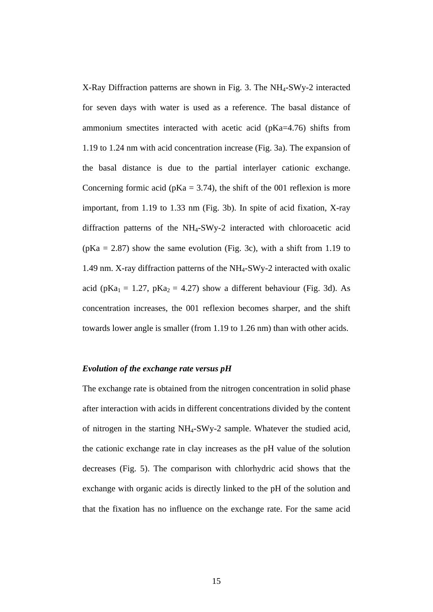$X-Ray$  Diffraction patterns are shown in Fig. 3. The  $NH<sub>4</sub>-SWy-2$  interacted for seven days with water is used as a reference. The basal distance of ammonium smectites interacted with acetic acid (pKa=4.76) shifts from 1.19 to 1.24 nm with acid concentration increase (Fig. 3a). The expansion of the basal distance is due to the partial interlayer cationic exchange. Concerning formic acid ( $pKa = 3.74$ ), the shift of the 001 reflexion is more important, from 1.19 to 1.33 nm (Fig. 3b). In spite of acid fixation, X-ray diffraction patterns of the NH4-SWy-2 interacted with chloroacetic acid  $(pKa = 2.87)$  show the same evolution (Fig. 3c), with a shift from 1.19 to 1.49 nm. X-ray diffraction patterns of the NH4-SWy-2 interacted with oxalic acid (pKa<sub>1</sub> = 1.27, pKa<sub>2</sub> = 4.27) show a different behaviour (Fig. 3d). As concentration increases, the 001 reflexion becomes sharper, and the shift towards lower angle is smaller (from 1.19 to 1.26 nm) than with other acids.

## *Evolution of the exchange rate versus pH*

The exchange rate is obtained from the nitrogen concentration in solid phase after interaction with acids in different concentrations divided by the content of nitrogen in the starting NH4-SWy-2 sample. Whatever the studied acid, the cationic exchange rate in clay increases as the pH value of the solution decreases (Fig. 5). The comparison with chlorhydric acid shows that the exchange with organic acids is directly linked to the pH of the solution and that the fixation has no influence on the exchange rate. For the same acid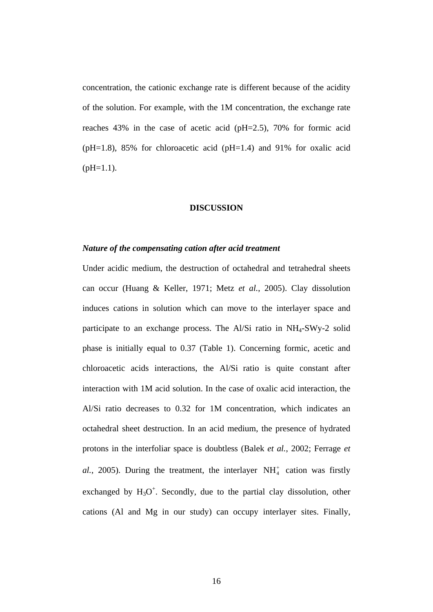concentration, the cationic exchange rate is different because of the acidity of the solution. For example, with the 1M concentration, the exchange rate reaches 43% in the case of acetic acid (pH=2.5), 70% for formic acid  $(pH=1.8)$ , 85% for chloroacetic acid  $(pH=1.4)$  and 91% for oxalic acid  $(pH=1.1)$ .

#### **DISCUSSION**

#### *Nature of the compensating cation after acid treatment*

Under acidic medium, the destruction of octahedral and tetrahedral sheets can occur (Huang & Keller, 1971; Metz *et al.*, 2005). Clay dissolution induces cations in solution which can move to the interlayer space and participate to an exchange process. The Al/Si ratio in NH4-SWy-2 solid phase is initially equal to 0.37 (Table 1). Concerning formic, acetic and chloroacetic acids interactions, the Al/Si ratio is quite constant after interaction with 1M acid solution. In the case of oxalic acid interaction, the Al/Si ratio decreases to 0.32 for 1M concentration, which indicates an octahedral sheet destruction. In an acid medium, the presence of hydrated protons in the interfoliar space is doubtless (Balek *et al.*, 2002; Ferrage *et al.*, 2005). During the treatment, the interlayer  $NH<sub>4</sub><sup>+</sup>$  cation was firstly exchanged by  $H_3O^+$ . Secondly, due to the partial clay dissolution, other cations (Al and Mg in our study) can occupy interlayer sites. Finally,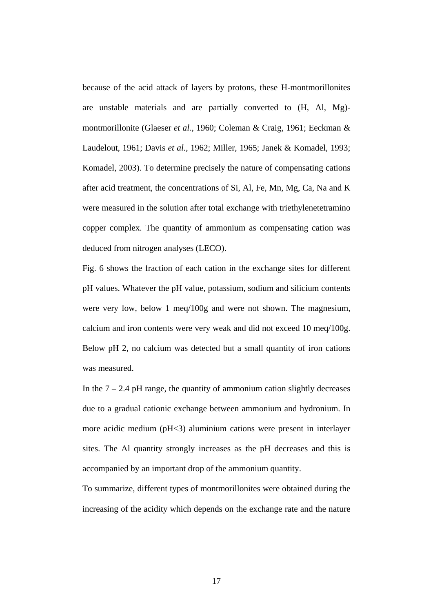because of the acid attack of layers by protons, these H-montmorillonites are unstable materials and are partially converted to (H, Al, Mg) montmorillonite (Glaeser *et al.*, 1960; Coleman & Craig, 1961; Eeckman & Laudelout, 1961; Davis *et al.*, 1962; Miller, 1965; Janek & Komadel, 1993; Komadel, 2003). To determine precisely the nature of compensating cations after acid treatment, the concentrations of Si, Al, Fe, Mn, Mg, Ca, Na and K were measured in the solution after total exchange with triethylenetetramino copper complex. The quantity of ammonium as compensating cation was deduced from nitrogen analyses (LECO).

Fig. 6 shows the fraction of each cation in the exchange sites for different pH values. Whatever the pH value, potassium, sodium and silicium contents were very low, below 1 meq/100g and were not shown. The magnesium, calcium and iron contents were very weak and did not exceed 10 meq/100g. Below pH 2, no calcium was detected but a small quantity of iron cations was measured.

In the  $7 - 2.4$  pH range, the quantity of ammonium cation slightly decreases due to a gradual cationic exchange between ammonium and hydronium. In more acidic medium (pH<3) aluminium cations were present in interlayer sites. The Al quantity strongly increases as the pH decreases and this is accompanied by an important drop of the ammonium quantity.

To summarize, different types of montmorillonites were obtained during the increasing of the acidity which depends on the exchange rate and the nature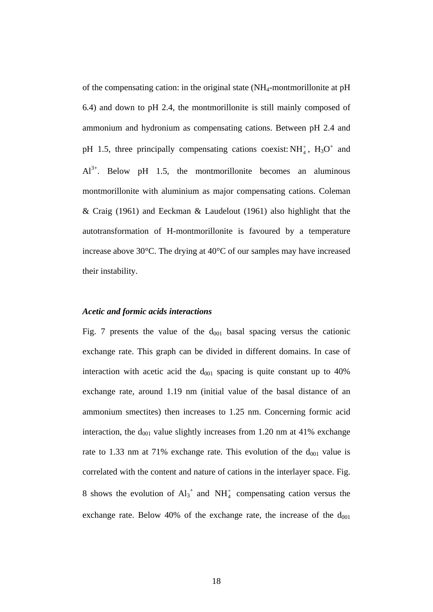of the compensating cation: in the original state  $(NH_4$ -montmorillonite at pH 6.4) and down to pH 2.4, the montmorillonite is still mainly composed of ammonium and hydronium as compensating cations. Between pH 2.4 and pH 1.5, three principally compensating cations coexist:  $NH<sub>4</sub><sup>+</sup>$ ,  $H<sub>3</sub>O<sup>+</sup>$  and  $Al^{3+}$ . Below pH 1.5, the montmorillonite becomes an aluminous montmorillonite with aluminium as major compensating cations. Coleman & Craig (1961) and Eeckman & Laudelout (1961) also highlight that the autotransformation of H-montmorillonite is favoured by a temperature increase above 30°C. The drying at 40°C of our samples may have increased their instability.

#### *Acetic and formic acids interactions*

Fig. 7 presents the value of the  $d_{001}$  basal spacing versus the cationic exchange rate. This graph can be divided in different domains. In case of interaction with acetic acid the  $d_{001}$  spacing is quite constant up to 40% exchange rate, around 1.19 nm (initial value of the basal distance of an ammonium smectites) then increases to 1.25 nm. Concerning formic acid interaction, the  $d_{001}$  value slightly increases from 1.20 nm at 41% exchange rate to 1.33 nm at 71% exchange rate. This evolution of the  $d_{001}$  value is correlated with the content and nature of cations in the interlayer space. Fig. 8 shows the evolution of  $Al_3^+$  and  $NH_4^+$  compensating cation versus the exchange rate. Below 40% of the exchange rate, the increase of the  $d_{001}$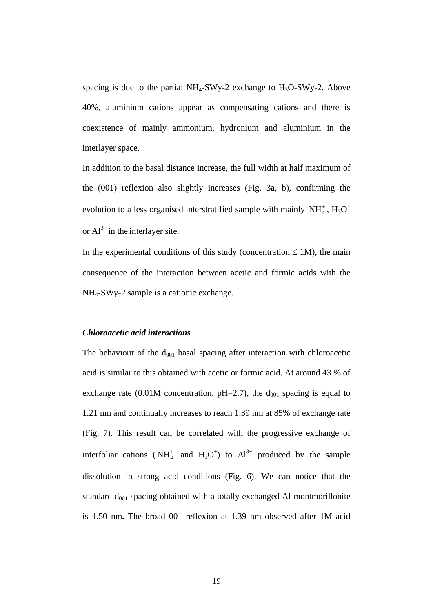spacing is due to the partial  $NH_4$ -SWy-2 exchange to  $H_3O$ -SWy-2. Above 40%, aluminium cations appear as compensating cations and there is coexistence of mainly ammonium, hydronium and aluminium in the interlayer space.

In addition to the basal distance increase, the full width at half maximum of the (001) reflexion also slightly increases (Fig. 3a, b), confirming the evolution to a less organised interstratified sample with mainly  $NH<sub>4</sub><sup>+</sup>$ ,  $H<sub>3</sub>O<sup>+</sup>$ or  $Al^{3+}$  in the interlayer site.

In the experimental conditions of this study (concentration  $\leq 1$ M), the main consequence of the interaction between acetic and formic acids with the NH4-SWy-2 sample is a cationic exchange.

#### *Chloroacetic acid interactions*

The behaviour of the  $d_{001}$  basal spacing after interaction with chloroacetic acid is similar to this obtained with acetic or formic acid. At around 43 % of exchange rate (0.01M concentration,  $pH=2.7$ ), the d<sub>001</sub> spacing is equal to 1.21 nm and continually increases to reach 1.39 nm at 85% of exchange rate (Fig. 7). This result can be correlated with the progressive exchange of interfoliar cations ( $NH_4^+$  and  $H_3O^+$ ) to  $Al^{3+}$  produced by the sample dissolution in strong acid conditions (Fig. 6). We can notice that the standard  $d_{001}$  spacing obtained with a totally exchanged Al-montmorillonite is 1.50 nm**.** The broad 001 reflexion at 1.39 nm observed after 1M acid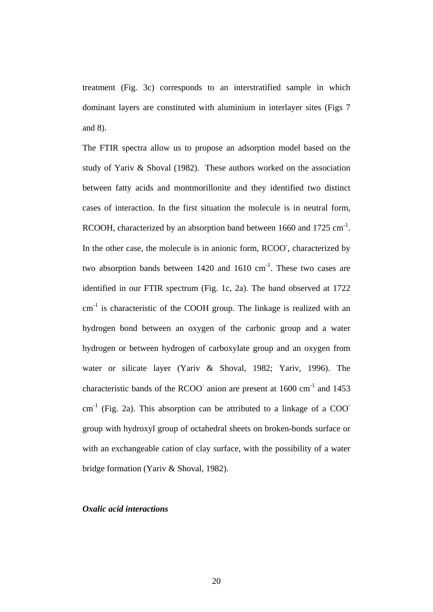treatment (Fig. 3c) corresponds to an interstratified sample in which dominant layers are constituted with aluminium in interlayer sites (Figs 7 and 8).

The FTIR spectra allow us to propose an adsorption model based on the study of Yariv & Shoval (1982). These authors worked on the association between fatty acids and montmorillonite and they identified two distinct cases of interaction. In the first situation the molecule is in neutral form, RCOOH, characterized by an absorption band between 1660 and 1725 cm<sup>-1</sup>. In the other case, the molecule is in anionic form, RCOO, characterized by two absorption bands between  $1420$  and  $1610 \text{ cm}^{-1}$ . These two cases are identified in our FTIR spectrum (Fig. 1c, 2a). The band observed at 1722  $cm<sup>-1</sup>$  is characteristic of the COOH group. The linkage is realized with an hydrogen bond between an oxygen of the carbonic group and a water hydrogen or between hydrogen of carboxylate group and an oxygen from water or silicate layer (Yariv & Shoval, 1982; Yariv, 1996). The characteristic bands of the RCOO anion are present at  $1600 \text{ cm}^{-1}$  and  $1453$  $cm<sup>-1</sup>$  (Fig. 2a). This absorption can be attributed to a linkage of a COO group with hydroxyl group of octahedral sheets on broken-bonds surface or with an exchangeable cation of clay surface, with the possibility of a water bridge formation (Yariv & Shoval, 1982).

# *Oxalic acid interactions*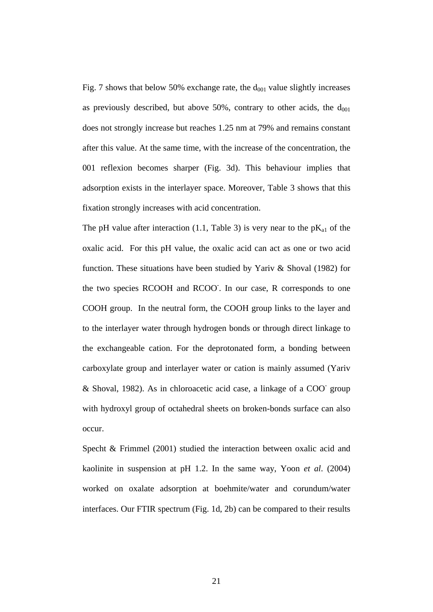Fig. 7 shows that below 50% exchange rate, the  $d_{001}$  value slightly increases as previously described, but above 50%, contrary to other acids, the  $d_{001}$ does not strongly increase but reaches 1.25 nm at 79% and remains constant after this value. At the same time, with the increase of the concentration, the 001 reflexion becomes sharper (Fig. 3d). This behaviour implies that adsorption exists in the interlayer space. Moreover, Table 3 shows that this fixation strongly increases with acid concentration.

The pH value after interaction (1.1, Table 3) is very near to the  $pK_{a1}$  of the oxalic acid. For this pH value, the oxalic acid can act as one or two acid function. These situations have been studied by Yariv & Shoval (1982) for the two species RCOOH and RCOO. In our case, R corresponds to one COOH group. In the neutral form, the COOH group links to the layer and to the interlayer water through hydrogen bonds or through direct linkage to the exchangeable cation. For the deprotonated form, a bonding between carboxylate group and interlayer water or cation is mainly assumed (Yariv & Shoval, 1982). As in chloroacetic acid case, a linkage of a COO- group with hydroxyl group of octahedral sheets on broken-bonds surface can also occur.

Specht & Frimmel (2001) studied the interaction between oxalic acid and kaolinite in suspension at pH 1.2. In the same way, Yoon *et al*. (2004) worked on oxalate adsorption at boehmite/water and corundum/water interfaces. Our FTIR spectrum (Fig. 1d, 2b) can be compared to their results

21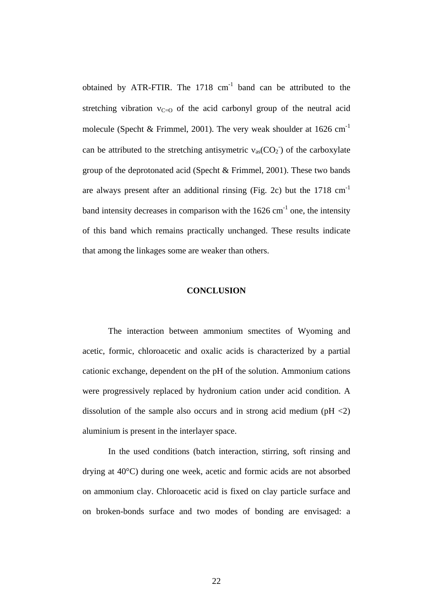obtained by ATR-FTIR. The  $1718 \text{ cm}^{-1}$  band can be attributed to the stretching vibration  $v_{C=0}$  of the acid carbonyl group of the neutral acid molecule (Specht & Frimmel, 2001). The very weak shoulder at  $1626 \text{ cm}^{-1}$ can be attributed to the stretching antisymetric  $v_{as}(CO_2)$  of the carboxylate group of the deprotonated acid (Specht & Frimmel, 2001). These two bands are always present after an additional rinsing (Fig. 2c) but the  $1718 \text{ cm}^{-1}$ band intensity decreases in comparison with the  $1626 \text{ cm}^{-1}$  one, the intensity of this band which remains practically unchanged. These results indicate that among the linkages some are weaker than others.

# **CONCLUSION**

The interaction between ammonium smectites of Wyoming and acetic, formic, chloroacetic and oxalic acids is characterized by a partial cationic exchange, dependent on the pH of the solution. Ammonium cations were progressively replaced by hydronium cation under acid condition. A dissolution of the sample also occurs and in strong acid medium ( $pH < 2$ ) aluminium is present in the interlayer space.

In the used conditions (batch interaction, stirring, soft rinsing and drying at 40°C) during one week, acetic and formic acids are not absorbed on ammonium clay. Chloroacetic acid is fixed on clay particle surface and on broken-bonds surface and two modes of bonding are envisaged: a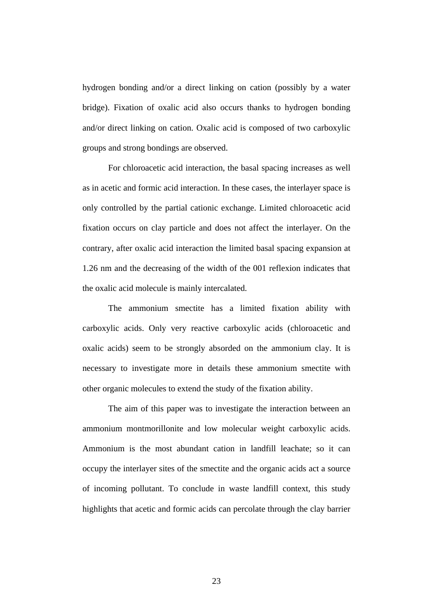hydrogen bonding and/or a direct linking on cation (possibly by a water bridge). Fixation of oxalic acid also occurs thanks to hydrogen bonding and/or direct linking on cation. Oxalic acid is composed of two carboxylic groups and strong bondings are observed.

For chloroacetic acid interaction, the basal spacing increases as well as in acetic and formic acid interaction. In these cases, the interlayer space is only controlled by the partial cationic exchange. Limited chloroacetic acid fixation occurs on clay particle and does not affect the interlayer. On the contrary, after oxalic acid interaction the limited basal spacing expansion at 1.26 nm and the decreasing of the width of the 001 reflexion indicates that the oxalic acid molecule is mainly intercalated.

The ammonium smectite has a limited fixation ability with carboxylic acids. Only very reactive carboxylic acids (chloroacetic and oxalic acids) seem to be strongly absorded on the ammonium clay. It is necessary to investigate more in details these ammonium smectite with other organic molecules to extend the study of the fixation ability.

The aim of this paper was to investigate the interaction between an ammonium montmorillonite and low molecular weight carboxylic acids. Ammonium is the most abundant cation in landfill leachate; so it can occupy the interlayer sites of the smectite and the organic acids act a source of incoming pollutant. To conclude in waste landfill context, this study highlights that acetic and formic acids can percolate through the clay barrier

23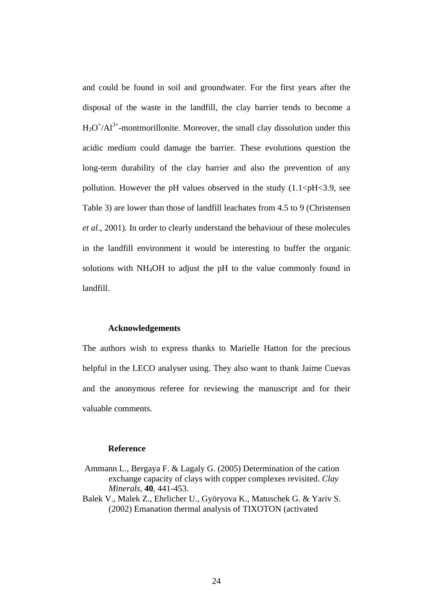and could be found in soil and groundwater. For the first years after the disposal of the waste in the landfill, the clay barrier tends to become a  $H_3O^{\dagger}/Al^{3+}$ -montmorillonite. Moreover, the small clay dissolution under this acidic medium could damage the barrier. These evolutions question the long-term durability of the clay barrier and also the prevention of any pollution. However the pH values observed in the study  $(1.1 < pH < 3.9$ , see Table 3) are lower than those of landfill leachates from 4.5 to 9 (Christensen *et al*., 2001). In order to clearly understand the behaviour of these molecules in the landfill environment it would be interesting to buffer the organic solutions with NH4OH to adjust the pH to the value commonly found in landfill.

#### **Acknowledgements**

The authors wish to express thanks to Marielle Hatton for the precious helpful in the LECO analyser using. They also want to thank Jaime Cuevas and the anonymous referee for reviewing the manuscript and for their valuable comments.

#### **Reference**

- Ammann L., Bergaya F. & Lagaly G. (2005) Determination of the cation exchange capacity of clays with copper complexes revisited. *Clay Minerals,* **40**, 441-453.
- Balek V., Malek Z., Ehrlicher U., Györyova K., Matuschek G. & Yariv S. (2002) Emanation thermal analysis of TIXOTON (activated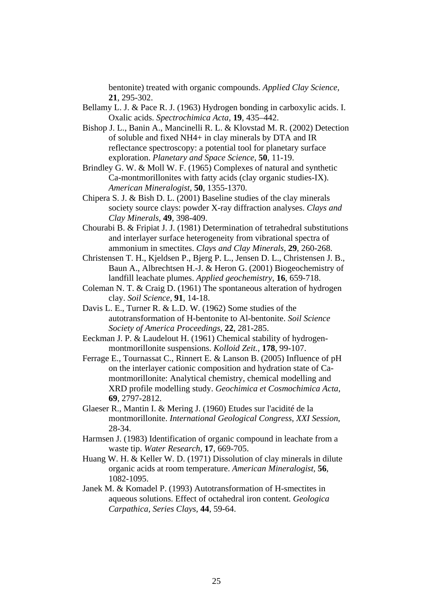bentonite) treated with organic compounds. *Applied Clay Science,* **21**, 295-302.

- Bellamy L. J. & Pace R. J. (1963) Hydrogen bonding in carboxylic acids. I. Oxalic acids. *Spectrochimica Acta,* **19***,* 435–442.
- Bishop J. L., Banin A., Mancinelli R. L. & Klovstad M. R. (2002) Detection of soluble and fixed NH4+ in clay minerals by DTA and IR reflectance spectroscopy: a potential tool for planetary surface exploration. *Planetary and Space Science,* **50**, 11-19.
- Brindley G. W. & Moll W. F. (1965) Complexes of natural and synthetic Ca-montmorillonites with fatty acids (clay organic studies-IX). *American Mineralogist,* **50**, 1355-1370.
- Chipera S. J. & Bish D. L. (2001) Baseline studies of the clay minerals society source clays: powder X-ray diffraction analyses. *Clays and Clay Minerals,* **49**, 398-409.
- Chourabi B. & Fripiat J. J. (1981) Determination of tetrahedral substitutions and interlayer surface heterogeneity from vibrational spectra of ammonium in smectites. *Clays and Clay Minerals,* **29**, 260-268.
- Christensen T. H., Kjeldsen P., Bjerg P. L., Jensen D. L., Christensen J. B., Baun A., Albrechtsen H.-J. & Heron G. (2001) Biogeochemistry of landfill leachate plumes. *Applied geochemistry,* **16**, 659-718.
- Coleman N. T. & Craig D. (1961) The spontaneous alteration of hydrogen clay. *Soil Science,* **91**, 14-18.
- Davis L. E., Turner R. & L.D. W. (1962) Some studies of the autotransformation of H-bentonite to Al-bentonite. *Soil Science Society of America Proceedings,* **22**, 281-285.
- Eeckman J. P. & Laudelout H. (1961) Chemical stability of hydrogenmontmorillonite suspensions. *Kolloid Zeit.,* **178**, 99-107.
- Ferrage E., Tournassat C., Rinnert E. & Lanson B. (2005) Influence of pH on the interlayer cationic composition and hydration state of Camontmorillonite: Analytical chemistry, chemical modelling and XRD profile modelling study. *Geochimica et Cosmochimica Acta,* **69**, 2797-2812.
- Glaeser R., Mantin I. & Mering J. (1960) Etudes sur l'acidité de la montmorillonite. *International Geological Congress, XXI Session*, 28-34.
- Harmsen J. (1983) Identification of organic compound in leachate from a waste tip. *Water Research,* **17**, 669-705.
- Huang W. H. & Keller W. D. (1971) Dissolution of clay minerals in dilute organic acids at room temperature. *American Mineralogist,* **56**, 1082-1095.
- Janek M. & Komadel P. (1993) Autotransformation of H-smectites in aqueous solutions. Effect of octahedral iron content. *Geologica Carpathica, Series Clays,* **44**, 59-64.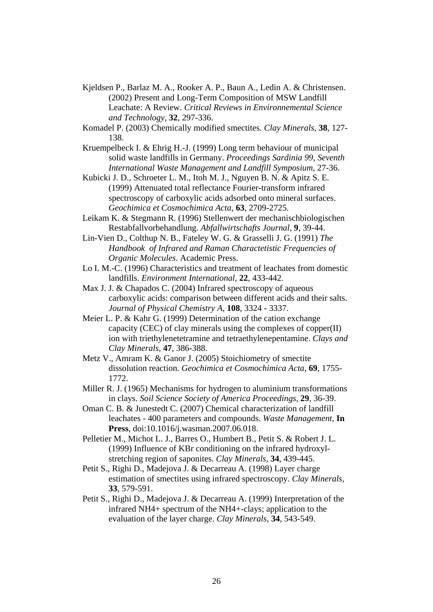- Kjeldsen P., Barlaz M. A., Rooker A. P., Baun A., Ledin A. & Christensen. (2002) Present and Long-Term Composition of MSW Landfill Leachate: A Review. *Critical Reviews in Environnemental Science and Technology,* **32**, 297-336.
- Komadel P. (2003) Chemically modified smectites. *Clay Minerals,* **38**, 127- 138.
- Kruempelbeck I. & Ehrig H.-J. (1999) Long term behaviour of municipal solid waste landfills in Germany. *Proceedings Sardinia 99, Seventh International Waste Management and Landfill Symposium*, 27-36.
- Kubicki J. D., Schroeter L. M., Itoh M. J., Nguyen B. N. & Apitz S. E. (1999) Attenuated total reflectance Fourier-transform infrared spectroscopy of carboxylic acids adsorbed onto mineral surfaces. *Geochimica et Cosmochimica Acta,* **63**, 2709-2725.
- Leikam K. & Stegmann R. (1996) Stellenwert der mechanischbiologischen Restabfallvorbehandlung. *Abfallwirtschafts Journal,* **9**, 39-44.
- Lin-Vien D., Colthup N. B., Fateley W. G. & Grasselli J. G. (1991) *The Handbook of Infrared and Raman Charactetistic Frequencies of Organic Molecules*. Academic Press.
- Lo I. M.-C. (1996) Characteristics and treatment of leachates from domestic landfills. *Environment International,* **22**, 433-442.
- Max J. J. & Chapados C. (2004) Infrared spectroscopy of aqueous carboxylic acids: comparison between different acids and their salts. *Journal of Physical Chemistry A,* **108**, 3324 - 3337.
- Meier L. P. & Kahr G. (1999) Determination of the cation exchange capacity (CEC) of clay minerals using the complexes of copper(II) ion with triethylenetetramine and tetraethylenepentamine. *Clays and Clay Minerals,* **47**, 386-388.
- Metz V., Amram K. & Ganor J. (2005) Stoichiometry of smectite dissolution reaction. *Geochimica et Cosmochimica Acta,* **69**, 1755- 1772.
- Miller R. J. (1965) Mechanisms for hydrogen to aluminium transformations in clays. *Soil Science Society of America Proceedings,* **29**, 36-39.
- Oman C. B. & Junestedt C. (2007) Chemical characterization of landfill leachates - 400 parameters and compounds. *Waste Management,* **In Press**, doi:10.1016/j.wasman.2007.06.018.
- Pelletier M., Michot L. J., Barres O., Humbert B., Petit S. & Robert J. L. (1999) Influence of KBr conditioning on the infrared hydroxylstretching region of saponites. *Clay Minerals,* **34**, 439-445.
- Petit S., Righi D., Madejova J. & Decarreau A. (1998) Layer charge estimation of smectites using infrared spectroscopy. *Clay Minerals,* **33**, 579-591.
- Petit S., Righi D., Madejova J. & Decarreau A. (1999) Interpretation of the infrared NH4+ spectrum of the NH4+-clays; application to the evaluation of the layer charge. *Clay Minerals,* **34**, 543-549.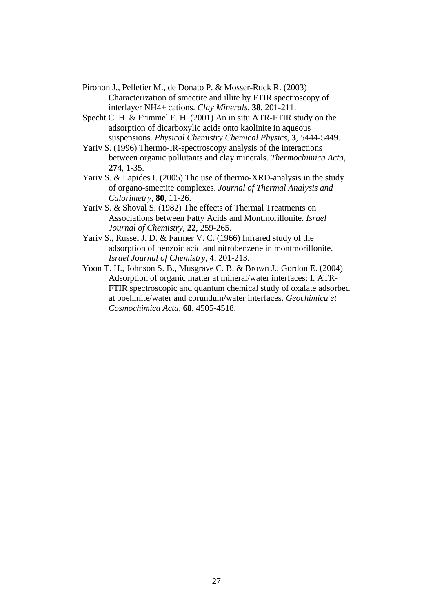- Pironon J., Pelletier M., de Donato P. & Mosser-Ruck R. (2003) Characterization of smectite and illite by FTIR spectroscopy of interlayer NH4+ cations. *Clay Minerals,* **38**, 201-211.
- Specht C. H. & Frimmel F. H. (2001) An in situ ATR-FTIR study on the adsorption of dicarboxylic acids onto kaolinite in aqueous suspensions. *Physical Chemistry Chemical Physics,* **3**, 5444-5449.
- Yariv S. (1996) Thermo-IR-spectroscopy analysis of the interactions between organic pollutants and clay minerals. *Thermochimica Acta,* **274**, 1-35.
- Yariv S. & Lapides I. (2005) The use of thermo-XRD-analysis in the study of organo-smectite complexes. *Journal of Thermal Analysis and Calorimetry,* **80**, 11-26.
- Yariv S. & Shoval S. (1982) The effects of Thermal Treatments on Associations between Fatty Acids and Montmorillonite. *Israel Journal of Chemistry,* **22**, 259-265.
- Yariv S., Russel J. D. & Farmer V. C. (1966) Infrared study of the adsorption of benzoic acid and nitrobenzene in montmorillonite. *Israel Journal of Chemistry,* **4**, 201-213.
- Yoon T. H., Johnson S. B., Musgrave C. B. & Brown J., Gordon E. (2004) Adsorption of organic matter at mineral/water interfaces: I. ATR-FTIR spectroscopic and quantum chemical study of oxalate adsorbed at boehmite/water and corundum/water interfaces. *Geochimica et Cosmochimica Acta,* **68**, 4505-4518.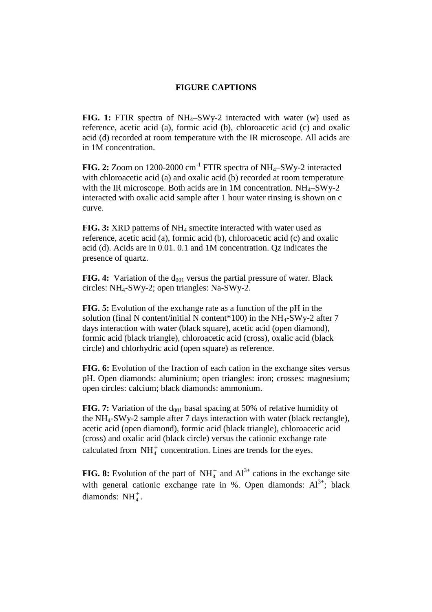### **FIGURE CAPTIONS**

**FIG. 1:** FTIR spectra of NH<sub>4</sub>–SWy-2 interacted with water (w) used as reference, acetic acid (a), formic acid (b), chloroacetic acid (c) and oxalic acid (d) recorded at room temperature with the IR microscope. All acids are in 1M concentration.

**FIG. 2:** Zoom on 1200-2000 cm-1 FTIR spectra of NH4–SWy-2 interacted with chloroacetic acid (a) and oxalic acid (b) recorded at room temperature with the IR microscope. Both acids are in  $1M$  concentration.  $NH_A-SWv-2$ interacted with oxalic acid sample after 1 hour water rinsing is shown on c curve.

**FIG. 3:** XRD patterns of NH4 smectite interacted with water used as reference, acetic acid (a), formic acid (b), chloroacetic acid (c) and oxalic acid (d). Acids are in 0.01. 0.1 and 1M concentration. Qz indicates the presence of quartz.

**FIG. 4:** Variation of the  $d_{001}$  versus the partial pressure of water. Black circles: NH4-SWy-2; open triangles: Na-SWy-2.

**FIG. 5:** Evolution of the exchange rate as a function of the pH in the solution (final N content/initial N content\*100) in the  $NH_4$ -SWy-2 after 7 days interaction with water (black square), acetic acid (open diamond), formic acid (black triangle), chloroacetic acid (cross), oxalic acid (black circle) and chlorhydric acid (open square) as reference.

**FIG. 6:** Evolution of the fraction of each cation in the exchange sites versus pH. Open diamonds: aluminium; open triangles: iron; crosses: magnesium; open circles: calcium; black diamonds: ammonium.

**FIG. 7:** Variation of the d<sub>001</sub> basal spacing at 50% of relative humidity of the NH4-SWy-2 sample after 7 days interaction with water (black rectangle), acetic acid (open diamond), formic acid (black triangle), chloroacetic acid (cross) and oxalic acid (black circle) versus the cationic exchange rate calculated from  $NH_4^+$  concentration. Lines are trends for the eyes.

**FIG. 8:** Evolution of the part of  $NH_4^+$  and  $Al^{3+}$  cations in the exchange site with general cationic exchange rate in %. Open diamonds:  $Al^{3+}$ ; black diamonds:  $NH<sub>4</sub><sup>+</sup>$ .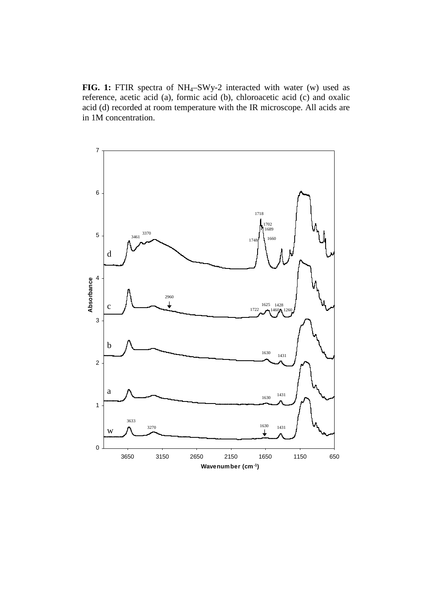**FIG. 1:** FTIR spectra of NH4–SWy-2 interacted with water (w) used as reference, acetic acid (a), formic acid (b), chloroacetic acid (c) and oxalic acid (d) recorded at room temperature with the IR microscope. All acids are in 1M concentration.

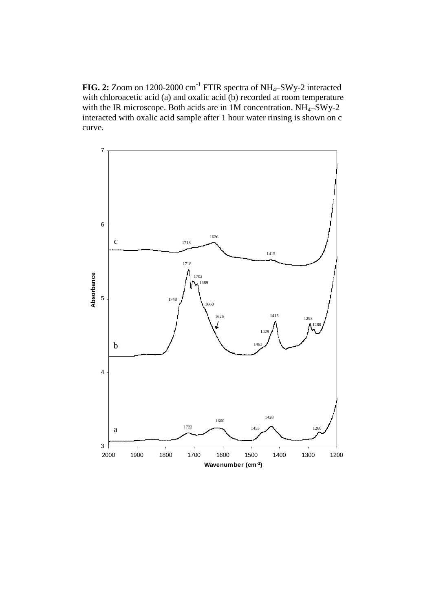**FIG. 2:** Zoom on 1200-2000  $cm^{-1}$  FTIR spectra of NH<sub>4</sub>–SWy-2 interacted with chloroacetic acid (a) and oxalic acid (b) recorded at room temperature with the IR microscope. Both acids are in 1M concentration. NH<sub>4</sub>-SWy-2 interacted with oxalic acid sample after 1 hour water rinsing is shown on c curve.

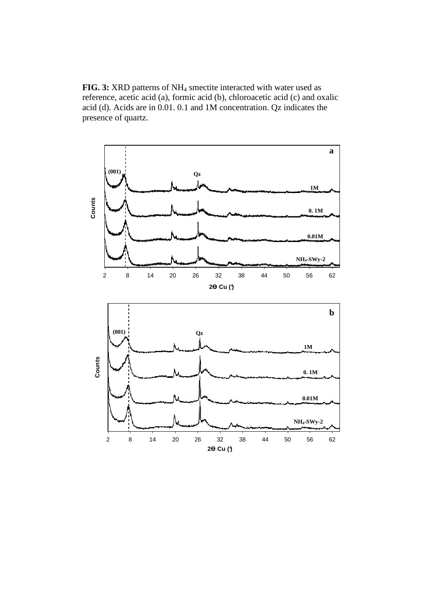**FIG. 3:** XRD patterns of NH4 smectite interacted with water used as reference, acetic acid (a), formic acid (b), chloroacetic acid (c) and oxalic acid (d). Acids are in 0.01. 0.1 and 1M concentration. Qz indicates the presence of quartz.

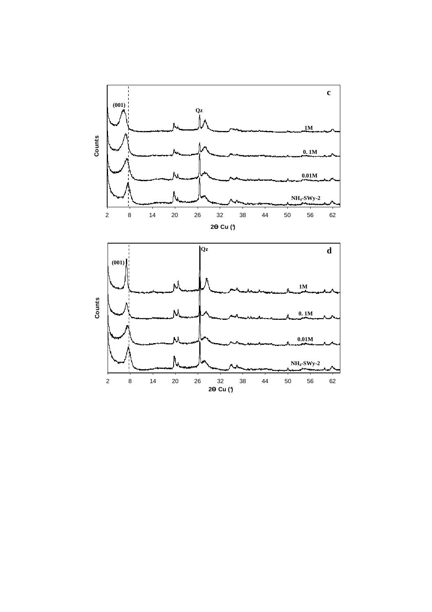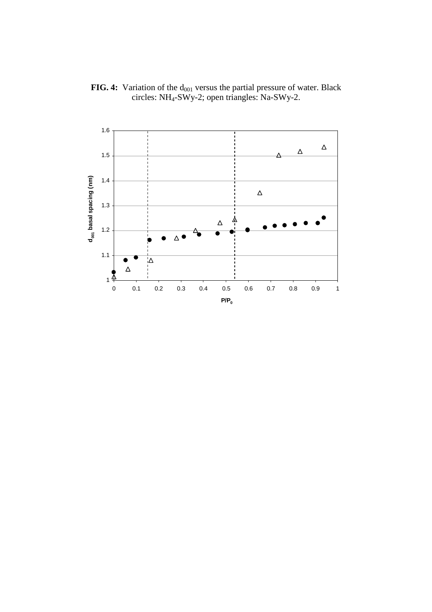

**FIG. 4:** Variation of the  $d_{001}$  versus the partial pressure of water. Black circles: NH4-SWy-2; open triangles: Na-SWy-2.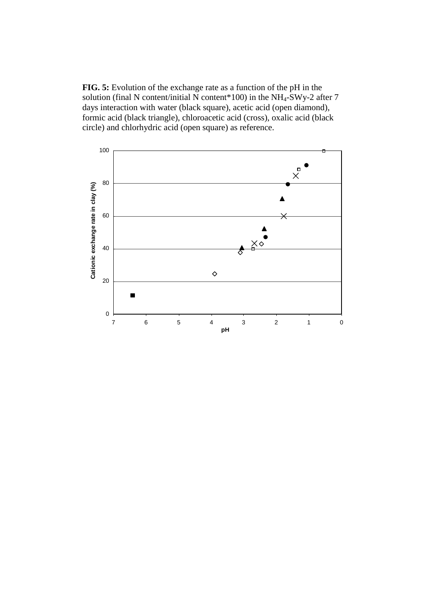**FIG. 5:** Evolution of the exchange rate as a function of the pH in the solution (final N content/initial N content\*100) in the NH<sub>4</sub>-SWy-2 after 7 days interaction with water (black square), acetic acid (open diamond), formic acid (black triangle), chloroacetic acid (cross), oxalic acid (black circle) and chlorhydric acid (open square) as reference.

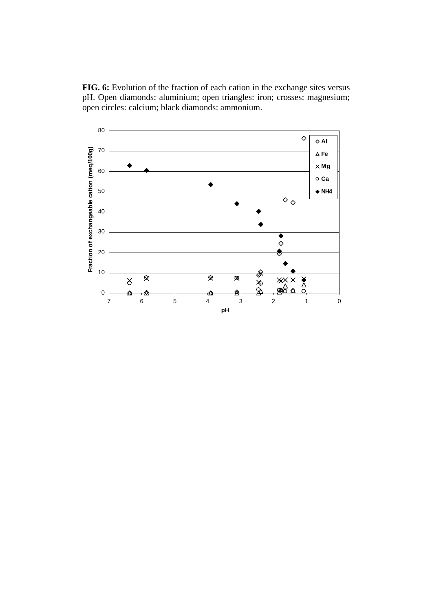FIG. 6: Evolution of the fraction of each cation in the exchange sites versus pH. Open diamonds: aluminium; open triangles: iron; crosses: magnesium; open circles: calcium; black diamonds: ammonium.

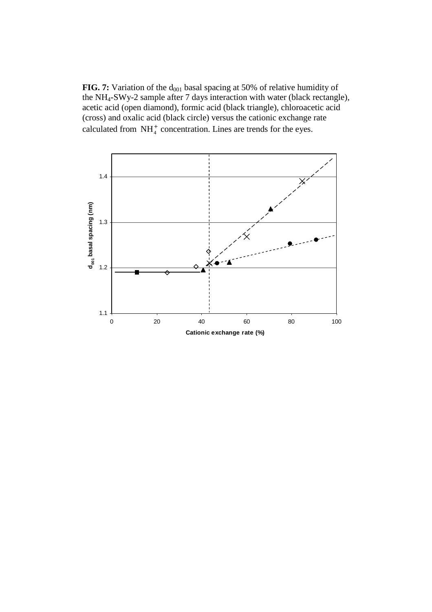FIG. 7: Variation of the d<sub>001</sub> basal spacing at 50% of relative humidity of the NH4-SWy-2 sample after 7 days interaction with water (black rectangle), acetic acid (open diamond), formic acid (black triangle), chloroacetic acid (cross) and oxalic acid (black circle) versus the cationic exchange rate calculated from  $NH_4^+$  concentration. Lines are trends for the eyes.

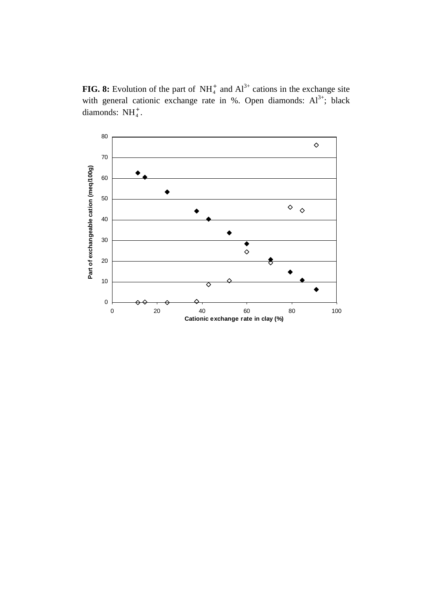**FIG. 8:** Evolution of the part of  $NH_4^+$  and  $Al^{3+}$  cations in the exchange site with general cationic exchange rate in %. Open diamonds:  $Al^{3+}$ ; black diamonds:  $NH<sub>4</sub><sup>+</sup>$ .

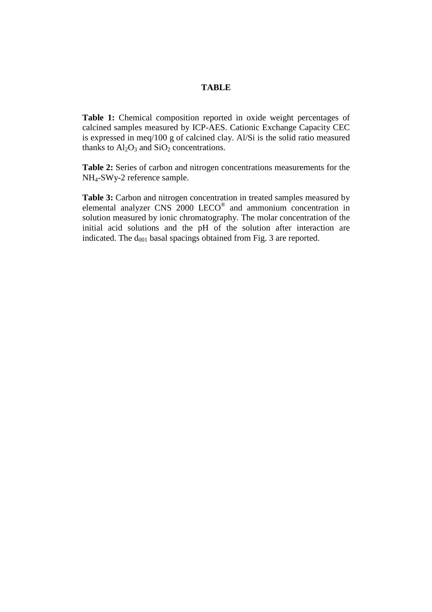# **TABLE**

**Table 1:** Chemical composition reported in oxide weight percentages of calcined samples measured by ICP-AES. Cationic Exchange Capacity CEC is expressed in meq/100 g of calcined clay. Al/Si is the solid ratio measured thanks to  $Al_2O_3$  and  $SiO_2$  concentrations.

**Table 2:** Series of carbon and nitrogen concentrations measurements for the NH4-SWy-2 reference sample.

Table 3: Carbon and nitrogen concentration in treated samples measured by elemental analyzer CNS 2000 LECO® and ammonium concentration in solution measured by ionic chromatography. The molar concentration of the initial acid solutions and the pH of the solution after interaction are indicated. The  $d_{001}$  basal spacings obtained from Fig. 3 are reported.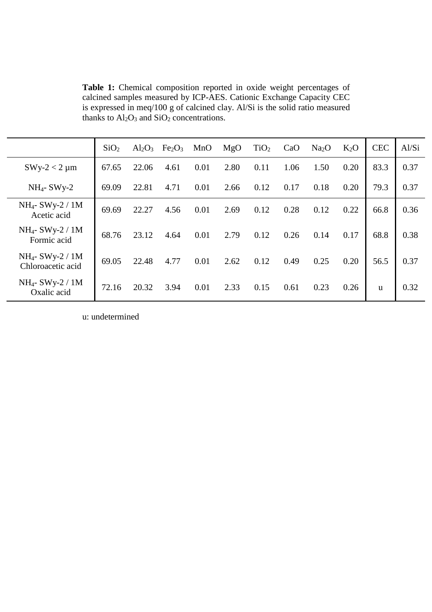**Table 1:** Chemical composition reported in oxide weight percentages of calcined samples measured by ICP-AES. Cationic Exchange Capacity CEC is expressed in meq/100 g of calcined clay. Al/Si is the solid ratio measured thanks to  $Al_2O_3$  and  $SiO_2$  concentrations.

|                                          | SiO <sub>2</sub> | $Al_2O_3$ | Fe <sub>2</sub> O <sub>3</sub> | MnO  | MgO  | TiO <sub>2</sub> | CaO  | Na <sub>2</sub> O | $K_2O$ | <b>CEC</b>  | Al/Si |
|------------------------------------------|------------------|-----------|--------------------------------|------|------|------------------|------|-------------------|--------|-------------|-------|
| $SWy-2 < 2 \mu m$                        | 67.65            | 22.06     | 4.61                           | 0.01 | 2.80 | 0.11             | 1.06 | 1.50              | 0.20   | 83.3        | 0.37  |
| $NH_4$ - SWy-2                           | 69.09            | 22.81     | 4.71                           | 0.01 | 2.66 | 0.12             | 0.17 | 0.18              | 0.20   | 79.3        | 0.37  |
| $NH_4$ - SWy-2 / 1M<br>Acetic acid       | 69.69            | 22.27     | 4.56                           | 0.01 | 2.69 | 0.12             | 0.28 | 0.12              | 0.22   | 66.8        | 0.36  |
| $NH_4$ - SWy-2 / 1M<br>Formic acid       | 68.76            | 23.12     | 4.64                           | 0.01 | 2.79 | 0.12             | 0.26 | 0.14              | 0.17   | 68.8        | 0.38  |
| $NH_4$ - SWy-2 / 1M<br>Chloroacetic acid | 69.05            | 22.48     | 4.77                           | 0.01 | 2.62 | 0.12             | 0.49 | 0.25              | 0.20   | 56.5        | 0.37  |
| $NH_4$ - SWy-2 / 1M<br>Oxalic acid       | 72.16            | 20.32     | 3.94                           | 0.01 | 2.33 | 0.15             | 0.61 | 0.23              | 0.26   | $\mathbf u$ | 0.32  |

u: undetermined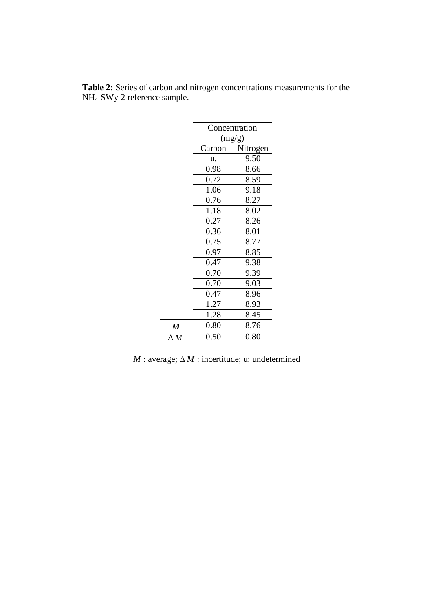|                          | Concentration |          |  |  |  |
|--------------------------|---------------|----------|--|--|--|
|                          | (mg/g)        |          |  |  |  |
|                          | Carbon        | Nitrogen |  |  |  |
|                          | u.            | 9.50     |  |  |  |
|                          | 0.98          | 8.66     |  |  |  |
|                          | 0.72          | 8.59     |  |  |  |
|                          | 1.06          | 9.18     |  |  |  |
|                          | 0.76          | 8.27     |  |  |  |
|                          | 1.18          | 8.02     |  |  |  |
|                          | 0.27          | 8.26     |  |  |  |
|                          | 0.36          | 8.01     |  |  |  |
|                          | 0.75          | 8.77     |  |  |  |
|                          | 0.97          | 8.85     |  |  |  |
|                          | 0.47          | 9.38     |  |  |  |
|                          | 0.70          | 9.39     |  |  |  |
|                          | 0.70          | 9.03     |  |  |  |
|                          | 0.47          | 8.96     |  |  |  |
|                          | 1.27          | 8.93     |  |  |  |
|                          | 1.28          | 8.45     |  |  |  |
| $\boldsymbol{M}$         | 0.80          | 8.76     |  |  |  |
| $\Delta\,\overline{\!M}$ | 0.50          | 0.80     |  |  |  |

**Table 2:** Series of carbon and nitrogen concentrations measurements for the NH4-SWy-2 reference sample.

 $\overline{M}$  : average;  $\Delta \, \overline{M}$  : incertitude; u: undetermined